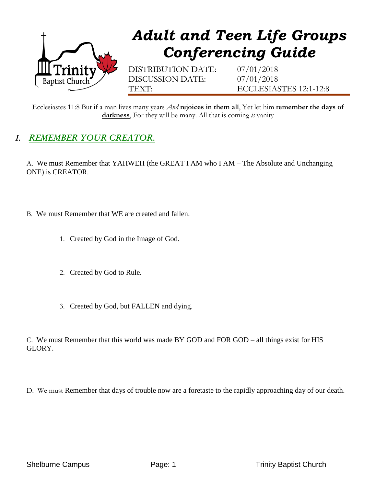

## *Adult and Teen Life Groups Conferencing Guide*

DISTRIBUTION DATE: 07/01/2018 DISCUSSION DATE: 07/01/2018

TEXT: ECCLESIASTES 12:1-12:8

Ecclesiastes 11:8 But if a man lives many years *And* **rejoices in them all**, Yet let him **remember the days of darkness**, For they will be many. All that is coming *is* vanity

## *I. REMEMBER YOUR CREATOR.*

A. We must Remember that YAHWEH (the GREAT I AM who I AM – The Absolute and Unchanging ONE) is CREATOR.

- B. We must Remember that WE are created and fallen.
	- 1. Created by God in the Image of God.
	- 2. Created by God to Rule.
	- 3. Created by God, but FALLEN and dying.

C. We must Remember that this world was made BY GOD and FOR GOD – all things exist for HIS GLORY.

D. We must Remember that days of trouble now are a foretaste to the rapidly approaching day of our death.